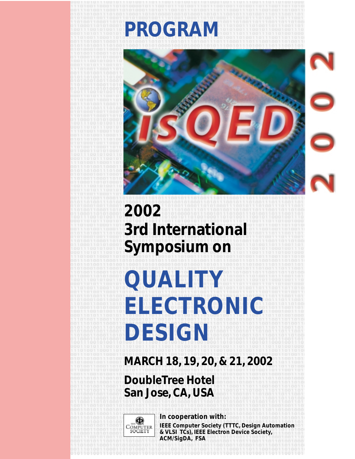

**2002 3rd International Symposium on**

# **QUALITY ELECTRONIC DESIGN**

**MARCH 18, 19, 20, & 21, 2002**

**DoubleTree Hotel San Jose, CA, USA**



**In cooperation with:**

**IEEE Computer Society (TTTC, Design Automation & VLSI TCs), IEEE Electron Device Society, ACM/SigDA, FSA**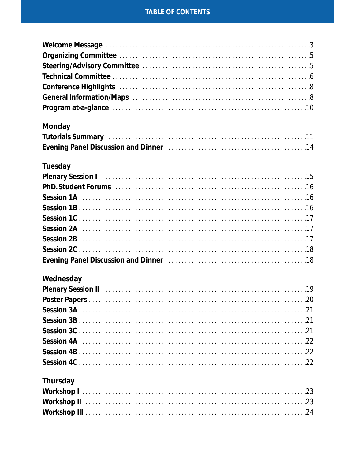# **TABLE OF CONTENTS**

# **Monday**

# **Tuesday**

# Wednesday

# **Thursday**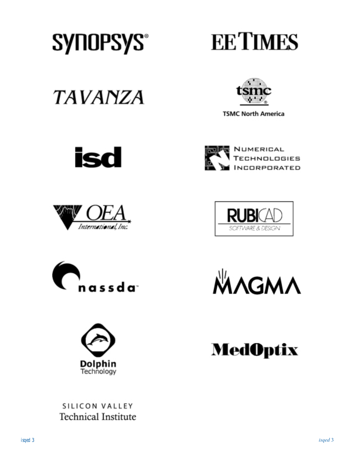

# **EETIMES**

**TAVANZA** 



**TSMC North America** 

















SILICON VALLEY **Technical Institute**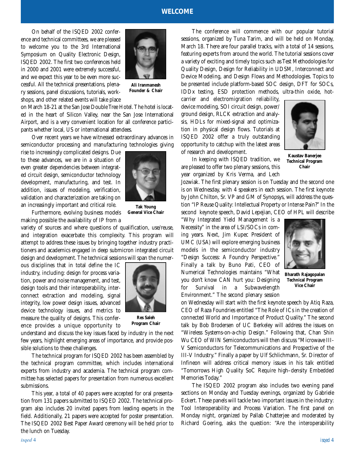### **WELCOME**

On behalf of the ISQED 2002 conference and technical committees, we are pleased to welcome you to the 3rd International Symposium on Quality Electronic Design, ISQED 2002. The first two conferences held in 2000 and 2001 were extremely successful, and we expect this year to be even more successful. All the technical presentations, plenary sessions, panel discussions, tutorials, workshops, and other related events will take place



**Ali Iranmanesh Founder & Chair**

on March 18-21 at the San Jose Double Tree Hotel. The hotel is located in the heart of Silicon Valley, near the San Jose International Airport, and is a very convenient location for all conference participants whether local, US or international attendees.

Over recent years we have witnessed extraordinary advances in semiconductor processing and manufacturing technologies giving

rise to increasingly complicated designs. Due to these advances, we are in a situation of even greater dependencies between integrated circuit design, semiconductor technology development, manufacturing, and test. In addition, issues of modeling, verification, validation and characterization are taking on an increasingly important and critical role.



**Tak Young General Vice Chair**

Furthermore, evolving business models making possible the availability of IP from a

variety of sources and where questions of qualification, use/reuse, and integration exacerbate this complexity. This program will attempt to address these issues by bringing together industry practitioners and academics engaged in deep submicron integrated circuit design and development. The technical sessions will span the numer-

ous disciplines that in total define the IC industry, including: design for process variation, power and noise management, and test, design tools and their interoperability, interconnect extraction and modeling, signal integrity, low power design issues, advanced device technology issues, and metrics to measure the quality of designs. This conference provides a unique opportunity to



**Res Saleh Program Chair**

understand and discuss the key issues faced by industry in the next few years, highlight emerging areas of importance, and provide possible solutions to these challenges.

The technical program for ISQED 2002 has been assembled by the technical program committee, which includes international experts from industry and academia. The technical program committee has selected papers for presentation from numerous excellent submissions.

This year, a total of 40 papers were accepted for oral presentation from 131 papers submitted to ISQED 2002. The technical program also includes 20 invited papers from leading experts in the field. Additionally, 21 papers were accepted for poster presentation. The ISQED 2002 Best Paper Award ceremony will be held prior to the lunch on Tuesday.

The conference will commence with our popular tutorial sessions, organized by Tuna Tarim, and will be held on Monday, March 18. There are four parallel tracks, with a total of 14 sessions, featuring experts from around the world. The tutorial sessions cover a variety of exciting and timely topics such as Test Methodologies for Quality Design, Design for Reliability in UDSM, Interconnect and Device Modeling, and Design Flows and Methodologies. Topics to be presented include platform-based SOC design, DFT for SOCs, IDDx testing, ESD protection methods, ultra-thin oxide, hot-

carrier and electromigration reliability, device modeling, SOI circuit design, power/ ground design, RLCK extraction and analysis, HDLs for mixed-signal and optimization in physical design flows. Tutorials at ISQED 2002 offer a truly outstanding opportunity to catchup with the latest areas of research and development.



In keeping with ISQED tradition, we are pleased to offer two plenary sessions, this year organized by Kris Verma, and Lech

**Kaustav Banerjee Technical Program Chair**

Jozwiak. The first plenary session is on Tuesday and the second one is on Wednesday, with 4 speakers in each session. The first keynote by John Chilton, Sr. VP and GM of Synopsys, will address the question "IP Reuse Quality: Intellectual Property or Intense Pain?" In the second keynote speech, David Lepejian, CEO of HPL will describe

"Why Integrated Yield Management is a Necessity" in the area of LSI/SOCs in coming years. Next, Jim Kupec President of UMC (USA) will explore emerging business models in the semiconductor industry "Design Success: A Foundry Perspective." Finally a talk by Buno Pati, CEO of Numerical Technologies maintains "What you don't know CAN hurt you: Designing for Survival in a Subwavelength Environment." The second plenary session



**Bharath Rajagopalan Technical Program Vice Chair**

on Wednesday will start with the first keynote speech by Atiq Raza, CEO of Raza Foundries entitled "The Role of ICs in the creation of connected World and Importance of Product Quality." The second talk by Bob Brodersen of UC Berkeley will address the issues on "Wireless Systems-on-a-chip Design." Following that, Chan Shin Wu CEO of WIN Semiconductors will then discuss "Microwave III-V Semiconductors for Telecommunications and Prospective of the III-V Industry." Finally a paper by Ulf Schlichmann, Sr. Director of Infineon will address critical memory issues in his talk entitled "Tomorrows High Quality SoC Require high–density Embedded Memories Today."

The ISQED 2002 program also includes two evening panel sections on Monday and Tuesday evenings, organized by Gabriele Eckert. These panels will tackle two important issues in the industry: Tool Interoperability and Process Variation. The first panel on Monday night, organized by Pallab Chatterjee and moderated by Richard Goering, asks the question: "Are the interoperability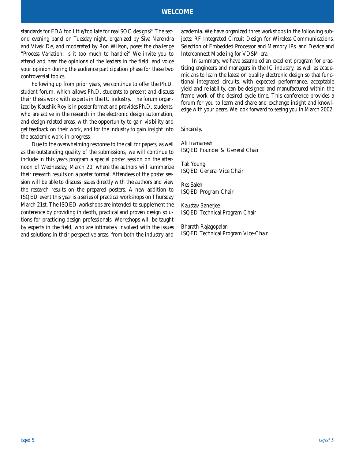# **WELCOME**

standards for EDA too little/too late for real SOC designs?" The second evening panel on Tuesday night, organized by Siva Narendra and Vivek De, and moderated by Ron Wilson, poses the challenge "Process Variation: Is it too much to handle?" We invite you to attend and hear the opinions of the leaders in the field, and voice your opinion during the audience participation phase for these two controversial topics.

Following up from prior years, we continue to offer the Ph.D. student forum, which allows Ph.D. students to present and discuss their thesis work with experts in the IC industry. The forum organized by Kaushik Roy is in poster format and provides Ph.D. students, who are active in the research in the electronic design automation, and design-related areas, with the opportunity to gain visibility and get feedback on their work, and for the industry to gain insight into the academic work-in-progress.

Due to the overwhelming response to the call for papers, as well as the outstanding quality of the submissions, we will continue to include in this years program a special poster session on the afternoon of Wednesday, March 20, where the authors will summarize their research results on a poster format. Attendees of the poster session will be able to discuss issues directly with the authors and view the research results on the prepared posters. A new addition to ISQED event this year is a series of practical workshops on Thursday March 21st. The ISQED workshops are intended to supplement the conference by providing in depth, practical and proven design solutions for practicing design professionals. Workshops will be taught by experts in the field, who are intimately involved with the issues and solutions in their perspective areas, from both the industry and

academia. We have organized three workshops in the following subjects: RF Integrated Circuit Design for Wireless Communications, Selection of Embedded Processor and Memory IPs, and Device and Interconnect Modeling for VDSM era.

In summary, we have assembled an excellent program for practicing engineers and managers in the IC industry, as well as academicians to learn the latest on quality electronic design so that functional integrated circuits, with expected performance, acceptable yield and reliability, can be designed and manufactured within the frame work of the desired cycle time. This conference provides a forum for you to learn and share and exchange insight and knowledge with your peers. We look forward to seeing you in March 2002.

Sincerely,

Ali Iramanesh ISQED Founder & General Chair

Tak Young ISQED General Vice Chair

Res Saleh ISQED Program Chair

Kaustav Banerjee ISQED Technical Program Chair

Bharath Rajagopalan ISQED Technical Program Vice-Chair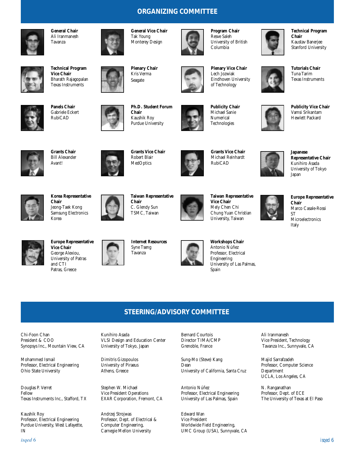# **ORGANIZING COMMITTEE**



**General Chair** Ali Iranmanesh Tavanza



**Technical Program Vice Chair** Bharath Rajagopalan Texas Instruments



**Panels Chair** Gabriele Eckert RubiCAD



**Ph.D. Student Forum Chair** Kaushik Roy Purdue University

**General Vice Chair** Tak Young Monterey Design

**Plenary Chair** Kris Verma Seagate



**Publicity Chair** Michael Sanie Numerical Technologies

**Program Chair** Resve Saleh University of British Columbia

**Plenary Vice Chair** Lech Jozwiak Eindhoven University of Technology



**Technical Program Chair** Kaustav Banerjee Stanford University



**Tutorials Chair** Tuna Tarim Texas Instruments



**Publicity Vice Chair** Vamsi Srikantam Hewlett Packard



**Grants Chair** Bill Alexander Avant!



**Grants Vice Chair**



**Grants Vice Chair** Michael Reinhardt RubiCAD



**Japanese Representative Chair** Kunihiro Asada University of Tokyo Japan



**Korea Representative Chair** Jeong-Taek Kong Samsung Electronics Korea



**Taiwan Representative Chair** C. Glendy Sun TSMC, Taiwan



**Taiwan Representative Vice Chair** Mely Chen Chi Chung Yuan Christian University, Taiwan





**Europe Representative** Marco Casale-Rossi



**Europe Representative Vice Chair** George Alexiou, University of Patras and CTI





**Workshops Chair** Antonio Núñez Professor, Electrical Engineering University of Las Palmas, Spain







Patras, Greece





# **STEERING/ADVISORY COMMITTEE**

Chi-Foon Chan President & COO Synopsys Inc., Mountain View, CA

Mohammed Ismail Professor, Electrical Engineering Ohio State University

Douglas P. Verret Fellow Texas Instruments Inc., Stafford, TX

Kaushik Roy Professor, Electrical Engineering Purdue University, West Lafayette, IN

Kunihiro Asada VLSI Design and Education Center University of Tokyo, Japan

Dimitris Gizopoulos University of Piraeus Athens, Greece

Stephen W. Michael Vice President Operations EXAR Corporation, Fremont, CA

Andrzej Strojwas Professor, Dept. of Electrical & Computer Engineering, Carnegie Mellon University

Bernard Courtois Director TIMA/CMP Grenoble, France

Sung-Mo (Steve) Kang Dean University of California, Santa Cruz

Antonio Núñez Professor, Electrical Engineering University of Las Palmas, Spain

Edward Wan Vice President Worldwide Field Engineering, UMC Group (USA), Sunnyvale, CA Ali Iranmanesh Vice President, Technology Tavanza Inc., Sunnyvale, CA

Majid Sarrafzadeh Professor, Computer Science Department UCLA, Los Angeles, CA

N. Ranganathan Professor, Dept. of ECE The University of Texas at El Paso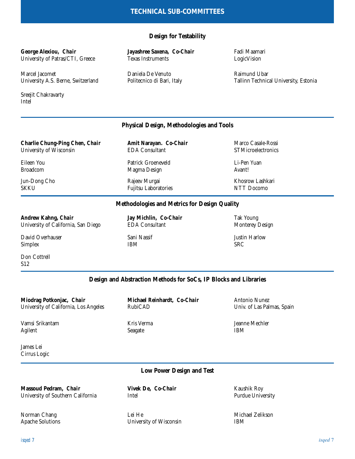# **Design for Testability**

# **George Alexiou,** *Chair*

University of Patras/CTI, Greece

Marcel Jacomet University A.S. Berne, Switzerland

Sreejit Chakravarty Intel

# **Jayashree Saxena,** *Co-Chair* Texas Instruments

Daniela De Venuto Politecnico di Bari, Italy Fadi Maamari LogicVision

Raimund Ubar Tallinn Technical University, Estonia

# **Physical Design, Methodologies and Tools**

**Charlie Chung-Ping Chen,** *Chair* University of Wisconsin **Amit Narayan.** *Co-Chair* EDA Consultant Marco Casale-Rossi **STMicroelectronics** Jun-Dong Cho SKKU Rajeev Murgai Fujitsu Laboratories Khosrow Lashkari NTT Docomo Patrick Groeneveld Magma Design Eileen You Broadcom Li-Pen Yuan Avant!

# **Methodologies and Metrics for Design Quality**

### **Andrew Kahng,** *Chair*

University of California, San Diego

David Overhauser Simplex

Don Cottrell S12

**Jay Michlin,** *Co-Chair* EDA Consultant

Sani Nassif IBM

Tak Young Monterey Design

Justin Harlow SRC

# **Design and Abstraction Methods for SoCs, IP Blocks and Libraries**

**Miodrag Potkonjac,** *Chair* University of California, Los Angeles

Vamsi Srikantam Agilent

**Michael Reinhardt,** *Co-Chair* RubiCAD

Kris Verma Seagate

Antonio Nunez Univ. of Las Palmas, Spain

Jeanne Mechler IBM

James Lei Cirrus Logic

# **Low Power Design and Test**

**Massoud Pedram,** *Chair* University of Southern California

Norman Chang Apache Solutions **Vivek De,** *Co-Chair* Intel

Lei He University of Wisconsin Kaushik Roy Purdue University

Michael Zelikson IBM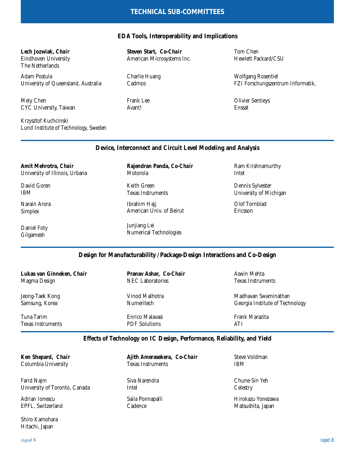# **TECHNICAL SUB-COMMITTEES**

# **EDA Tools, Interoperability and Implications**

# **Lech Jozwiak,** *Chair*

Eindhoven University The Netherlands

Adam Postula University of Queensland, Australia

Mely Chen CYC University, Taiwan

Krzysztof Kuchcinski Lund Institute of Technology, Sweden **Steven Start,** *Co-Chair* American Microsystems Inc.

Charlie Huang Cadmos

Frank Lee Avant!

Tom Chen Hewlett Packard/CSU

Wolfgang Rosentiel FZI Forschungszentrum Informatik,

Olivier Sentieys Enssat

# **Device, Interconnect and Circuit Level Modeling and Analysis**

**Amit Mehrotra,** *Chair* University of Illinois, Urbana

David Goren IBM

Narain Arora Simplex

Daniel Foty Gilgamesh

**Rajendran Panda,** *Co-Chair* Motorola

Keith Green Texas Instruments

Ibrahim Hajj American Univ. of Beirut

Junjiang Lei Numerical Technologies Ram Krishnamurthy Intel

Dennis Sylvester University of Michigan

Olof Tornblad Ericsson

# **Design for Manufacturability /Package-Design Interactions and Co-Design**

**Lukas van Ginneken,** *Chair* Magma Design

Jeong-Taek Kong Samsung, Korea

Tuna Tarim Texas Instruments

**Ken Shepard,** *Chair*

**Pranav Ashar,** *Co-Chair* NEC Laboratories

Vinod Malhotra Numeritech

Enrico Malavasi PDF Solutions

Aswin Mehta Texas Instruments

Madhavan Swaminathan Georgia Institute of Technology

Frank Marazita ATI

# **Effects of Technology on IC Design, Performance, Reliability, and Yield**

Columbia University Farid Najm University of Toronto, Canada

Adrian Ionescu EPFL, Switzerland

Shiro Kamohara Hitachi, Japan

**Ajith Amerasekera,** *Co-Chair* Texas Instruments Saila Ponnapalli Cadence Siva Narendra Intel

Steve Voldman IBM

Chune-Sin Yeh **Celestry** 

Hirokazu Yonezawa Matsushita, Japan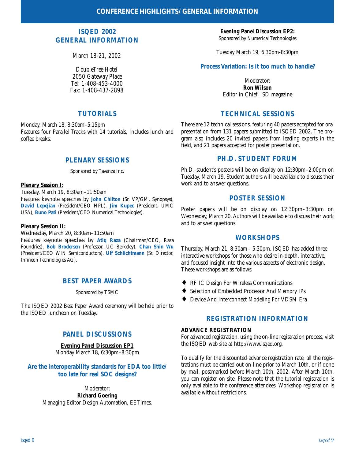# **ISQED 2002 GENERAL INFORMATION**

*March 18-21, 2002*

*DoubleTree Hotel 2050 Gateway Place Tel: 1-408-453-4000 Fax: 1-408-437-2898*

# **TUTORIALS**

Monday, March 18, 8:30am–5:15pm Features four Parallel Tracks with 14 tutorials. Includes lunch and coffee breaks.

# **PLENARY SESSIONS**

Sponsored by Tavanza Inc.

### **Plenary Session I:**

Tuesday, March 19, 8:30am–11:50am

Features keynote speeches by **John Chilton** (Sr. VP/GM, Synopsys), **David Lepejian** (President/CEO HPL), **Jim Kupec** (President, UMC USA), **Buno Pati** (President/CEO Numerical Technologies).

### **Plenary Session II:**

Wednesday, March 20, 8:30am–11:50am Features keynote speeches by **Atiq Raza** (Chairman/CEO, Raza

Foundries), **Bob Brodersen** (Professor, UC Berkeley), **Chan Shin Wu** (President/CEO WIN Semiconductors), **Ulf Schlichtmann** (Sr. Director, Infineon Technologies AG).

# **BEST PAPER AWARDS**

Sponsored by TSMC

The ISQED 2002 Best Paper Award ceremony will be held prior to the ISQED luncheon on Tuesday.

# **PANEL DISCUSSIONS**

### **Evening Panel Discussion EP1**

Monday March 18, 6:30pm–8:30pm

# **Are the interoperability standards for EDA too little/ too late for real SOC designs?**

Moderator: **Richard Goering** Managing Editor Design Automation, EETimes.

**Evening Panel Discussion EP2:** Sponsored by Numerical Technologies

Tuesday March 19, 6:30pm-8:30pm

# **Process Variation: Is it too much to handle?**

Moderator: **Ron Wilson** Editor in Chief, ISD magazine

# **TECHNICAL SESSIONS**

There are 12 technical sessions, featuring 40 papers accepted for oral presentation from 131 papers submitted to ISQED 2002. The program also includes 20 invited papers from leading experts in the field, and 21 papers accepted for poster presentation.

# **PH.D. STUDENT FORUM**

Ph.D. student's posters will be on display on 12:30pm–2:00pm on Tuesday, March 19. Student authors will be available to discuss their work and to answer questions.

# **POSTER SESSION**

Poster papers will be on display on 12:30pm–3:30pm on Wednesday, March 20. Authors will be available to discuss their work and to answer questions.

# **WORKSHOPS**

Thursday, March 21, 8:30am - 5:30pm. ISQED has added three interactive workshops for those who desire in-depth, interactive, and focused insight into the various aspects of electronic design. These workshops are as follows:

- ♦ RF IC Design For Wireless Communications
- ♦ Selection of Embedded Processor And Memory IPs
- ♦ Device And Interconnect Modeling For VDSM Era

# **REGISTRATION INFORMATION**

### **ADVANCE REGISTRATION**

For advanced registration, using the on-line registration process, visit the ISQED web site at http://www.isqed.org.

To qualify for the discounted advance registration rate, all the registrations must be carried out on-line prior to March 10th, or if done by mail, postmarked before March 10th, 2002. After March 10th, you can register on site. Please note that the tutorial registration is only available to the conference attendees. Workshop registration is available without restrictions.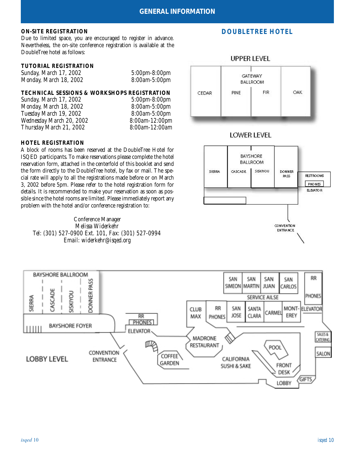Due to limited space, you are encouraged to register in advance. Nevertheless, the on-site conference registration is available at the DoubleTree hotel as follows:

### **TUTORIAL REGISTRATION**

| Sunday, March 17, 2002 | <i>5:00pm-8:00pm</i> |
|------------------------|----------------------|
| Monday, March 18, 2002 | <i>8:00am-5:00pm</i> |

# **TECHNICAL SESSIONS & WORKSHOPS REGISTRATION**<br>Sunday. March 17, 2002 5:00pm-8:00pm

*Sunday, March 17, 2002 5:00pm-8:00pm Monday, March 18, 2002 8:00am-5:00pm Tuesday March 19, 2002 8:00am-5:00pm Wednesday March 20, 2002 8:00am-12:00pm Thursday March 21, 2002 8:00am-12:00am*

### **HOTEL REGISTRATION**

A block of rooms has been reserved at the DoubleTree Hotel for ISQED participants. To make reservations please complete the hotel reservation form, attached in the centerfold of this booklet and send the form directly to the DoubleTree hotel, by fax or mail. The special rate will apply to all the registrations made before or on March 3, 2002 before 5pm. Please refer to the hotel registration form for details. It is recommended to make your reservation as soon as possible since the hotel rooms are limited. Please immediately report any problem with the hotel and/or conference registration to:

Conference Manager *Melissa Widerkehr Tel: (301) 527-0900 Ext. 101, Fax: (301) 527-0994 Email: widerkehr@isqed.org*

# **ON-SITE REGISTRATION DOUBLETREE HOTEL**



# LOWER LEVEL

# **BAYSHORE BALLROOM** SIERRA **CASCADE SISKIYOU DONNER** RESTROOMS **RASS** PHONES **ELEVATOR CONVENTION ENTRANCE**

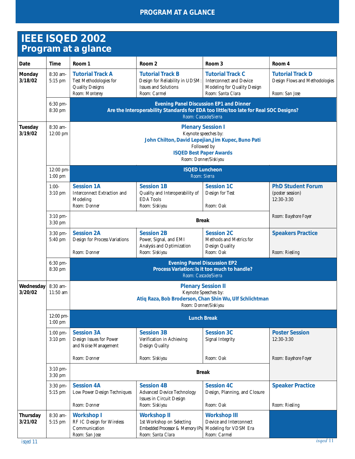# **PROGRAM AT A GLANCE**

# **IEEE ISQED 2002 Program at a glance**

|                          |                         | . . <del>ogram av a grano</del> v                                                                                                     |                                                                                                              |                                                                                                |                                                            |
|--------------------------|-------------------------|---------------------------------------------------------------------------------------------------------------------------------------|--------------------------------------------------------------------------------------------------------------|------------------------------------------------------------------------------------------------|------------------------------------------------------------|
| Date                     | <b>Time</b>             | Room 1                                                                                                                                | Room <sub>2</sub>                                                                                            | Room <sub>3</sub>                                                                              | Room 4                                                     |
| <b>Monday</b><br>3/18/02 | 8:30 am-<br>5:15 pm     | <b>Tutorial Track A</b><br>Test Methodologies for<br><b>Quality Designs</b>                                                           | <b>Tutorial Track B</b><br>Design for Reliability in UDSM:<br><b>Issues and Solutions</b>                    | <b>Tutorial Track C</b><br><b>Interconnect and Device</b><br>Modeling for Quality Design       | <b>Tutorial Track D</b><br>Design Flows and Methodologies  |
|                          |                         | Room: Monterey                                                                                                                        | Room: Carmel                                                                                                 | Room: Santa Clara                                                                              | Room: San Jose                                             |
|                          | 6:30 pm-<br>8:30 pm     |                                                                                                                                       | Are the Interoperability Standards for EDA too little/too late for Real SOC Designs?<br>Room: Cascade/Sierra | <b>Evening Panel Discussion EP1 and Dinner</b>                                                 |                                                            |
| Tuesday<br>3/19/02       | 8:30 am-<br>12:00 pm    |                                                                                                                                       | <b>Plenary Session I</b><br>John Chilton, David Lepejian, Jim Kupec, Buno Pati                               | Keynote speeches by:<br>Followed by<br><b>ISQED Best Paper Awards</b><br>Room: Donner/Siskiyou |                                                            |
|                          | 12:00 pm-<br>$1:00$ pm  | <b>ISQED Luncheon</b><br>Room: Sierra                                                                                                 |                                                                                                              |                                                                                                |                                                            |
|                          | $1:00-$<br>3:10 pm      | <b>Session 1A</b><br><b>Interconnect Extraction and</b><br>Modeling<br>Room: Donner                                                   | <b>Session 1B</b><br>Quality and Interoperability of<br><b>EDA</b> Tools<br>Room: Siskiyou                   | <b>Session 1C</b><br>Design for Test<br>Room: Oak                                              | <b>PhD Student Forum</b><br>(poster session)<br>12:30-3:30 |
|                          | 3:10 pm-<br>3:30 pm     | <b>Break</b>                                                                                                                          |                                                                                                              |                                                                                                | Room: Bayshore Foyer                                       |
|                          | 3:30 pm-<br>5:40 pm     | <b>Session 2A</b><br>Design for Process Variations<br>Room: Donner                                                                    | <b>Session 2B</b><br>Power, Signal, and EMI<br>Analysis and Optimization<br>Room: Siskiyou                   | <b>Session 2C</b><br>Methods and Metrics for<br>Design Quality<br>Room: Oak                    | <b>Speakers Practice</b><br>Room: Riesling                 |
|                          |                         |                                                                                                                                       |                                                                                                              |                                                                                                |                                                            |
|                          | 6:30 pm-<br>8:30 pm     | <b>Evening Panel Discussion EP2</b><br>Process Variation: Is it too much to handle?<br>Room: Cascade/Sierra                           |                                                                                                              |                                                                                                |                                                            |
| Wednesday<br>3/20/02     | 8:30 am-<br>11:50 am    | <b>Plenary Session II</b><br>Keynote Speeches by:<br>Atiq Raza, Bob Broderson, Chan Shin Wu, Ulf Schlichtman<br>Room: Donner/Siskiyou |                                                                                                              |                                                                                                |                                                            |
|                          | 12:00 pm-<br>$1:00$ pm  | <b>Lunch Break</b>                                                                                                                    |                                                                                                              |                                                                                                |                                                            |
|                          | $1:00$ pm-<br>$3:10$ pm | <b>Session 3A</b><br>Design Issues for Power<br>and Noise Management                                                                  | <b>Session 3B</b><br>Verification in Achieving<br>Design Quality                                             | <b>Session 3C</b><br><b>Signal Integrity</b>                                                   | <b>Poster Session</b><br>12:30-3:30                        |
|                          |                         | Room: Donner                                                                                                                          | Room: Siskiyou                                                                                               | Room: Oak                                                                                      | Room: Bayshore Foyer                                       |
|                          | 3:10 pm-<br>3:30 pm     | <b>Break</b>                                                                                                                          |                                                                                                              |                                                                                                |                                                            |
|                          | 3:30 pm-                | <b>Session 4A</b>                                                                                                                     | <b>Session 4B</b>                                                                                            | <b>Session 4C</b>                                                                              | <b>Speaker Practice</b>                                    |
|                          | 5:15 pm                 | Low Power Design Techniques<br>Room: Donner                                                                                           | <b>Advanced Device Technology</b><br>Issues in Circuit Design<br>Room: Siskiyou                              | Design, Planning, and Closure<br>Room: Oak                                                     | Room: Riesling                                             |
| Thursday<br>3/21/02      | 8:30 am-<br>5:15 pm     | <b>Workshop I</b><br>RF IC Design for Wireless<br>Communication<br>Room: San Jose                                                     | <b>Workshop II</b><br>1st Workshop on Selecting<br>Embedded Processor & Memory IPs<br>Room: Santa Clara      | <b>Workshop III</b><br>Device and Interconnect<br>Modeling for VDSM Era<br>Room: Carmel        |                                                            |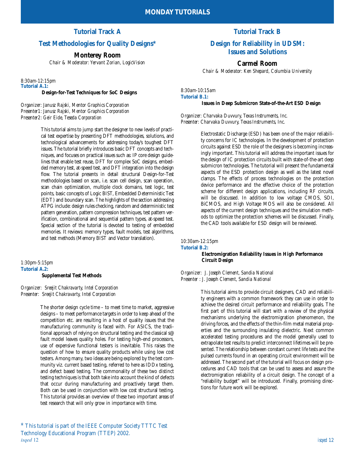# **Tutorial Track A**

# **Test Methodologies for Quality Designs\***

# **Monterey Room**

*Chair & Moderator: Yervant Zorian, LogicVision*

*8:30am-12:15pm* **Tutorial A.1: Design-for-Test Techniques for SoC Designs**

*Organizer: Janusz Rajski, Mentor Graphics Corporation Presenter1: Janusz Rajski, Mentor Graphics Corporation Presenter2: Geir Eide, Teseda Corporation*

> This tutorial aims to jump start the designer to new levels of practical test expertise by presenting DFT methodologies, solutions, and technological advancements for addressing today's toughest DFT issues. The tutorial briefly introduces basic DFT concepts and techniques, and focuses on practical issues such as: IP core design guidelines that enable test reuse, DFT for complex SoC designs, embedded memory test, at-speed test, and DFT integration into the design flow. The tutorial presents in detail structural Design-for-Test methodologies based on scan, i.e. scan cell design, scan operation, scan chain optimization, multiple clock domains, test logic, test points, basic concepts of Logic BIST, Embedded Deterministic Test (EDT) and boundary scan. The highlights of the section addressing ATPG include: design rules checking, random and deterministic test pattern generation, pattern compression techniques, test pattern verification, combinational and sequential pattern types, at-speed test. Special section of the tutorial is devoted to testing of embedded memories. It reviews: memory types, fault models, test algorithms, and test methods (Memory BIST and Vector translation).

*1:30pm-5:15pm* **Tutorial A.2: Supplemental Test Methods**

*Organizer: Sreejit Chakravarty, Intel Corporation Presenter: Sreejit Chakravarty, Intel Corporation*

> The shorter design cycle time – to meet time to market, aggressive designs – to meet performance targets in order to keep ahead of the competition etc. are resulting in a host of quality issues that the manufacturing community is faced with. For ASICS, the traditional approach of relying on structural testing and the classical s@ fault model leaves quality holes. For testing high-end processors, use of expensive functional testers is inevitable. This raises the question of how to ensure quality products while using low cost testers. Among many, two ideas are being explored by the test community viz. current based testing, referred to here as IDDx testing, and defect based testing. The commonality of these two distinct testing techniques is that both take into account the kind of defects that occur during manufacturing and proactively target them. Both can be used in conjunction with low cost structural testing. This tutorial provides an overview of these two important areas of test research that will only grow in importance with time.

*isqed* 12 *isqed* 12 *\** This tutorial is part of the IEEE Computer Society TTTC Test Technology Educational Program (TTEP) 2002.<br>
isqed 12

# **Tutorial Track B**

# **Design for Reliability in UDSM: Issues and Solutions**

**Carmel Room**

*Chair & Moderator: Ken Shepard, Columbia University*

*8:30am-10:15am* **Tutorial B.1:** 

#### **Issues in Deep Submicron State-of-the-Art ESD Design**

*Organizer: Charvaka Duvvury, Texas Instruments, Inc. Presenter: Charvaka Duvvury, Texas Instruments, Inc.*

> Electrostatic Discharge (ESD) has been one of the major reliability concerns for IC technologies. In the development of protection circuits against ESD the role of the designers is becoming increasingly important. This tutorial will address the important issues for the design of IC protection circuits built with state-of-the-art deep submicron technologies. The tutorial will present the fundamental aspects of the ESD protection design as well as the latest novel clamps. The effects of process technologies on the protection device performance and the effective choice of the protection scheme for different design applications, including RF circuits, will be discussed. In addition to low voltage CMOS, SOI, BiCMOS, and High Voltage MOS will also be considered. All aspects of the current design techniques and the simulation methods to optimize the protection schemes will be discussed. Finally, the CAD tools available for ESD design will be reviewed.

*10:30am-12:15pm* **Tutorial B.2: Electromigration Reliability Issues in High Performance Circuit Design**

*Organizer: J. Joseph Clement, Sandia National Presenter : J. Joseph Clement, Sandia National* 

> This tutorial aims to provide circuit designers, CAD and reliability engineers with a common framework they can use in order to achieve the desired circuit performance and reliability goals. The first part of this tutorial will start with a review of the physical mechanisms underlying the electromigration phenomenon, the driving forces, and the effects of the thin-film metal material properties and the surrounding insulating dielectric. Next common accelerated testing procedures and the model generally used to extrapolate test results to predict interconnect lifetimes will be presented. The relationship between constant current life tests and the pulsed currents found in an operating circuit environment will be addressed. The second part of the tutorial will focus on design procedures and CAD tools that can be used to assess and assure the electromigration reliability of a circuit design. The concept of a "reliability budget" will be introduced. Finally, promising directions for future work will be explored.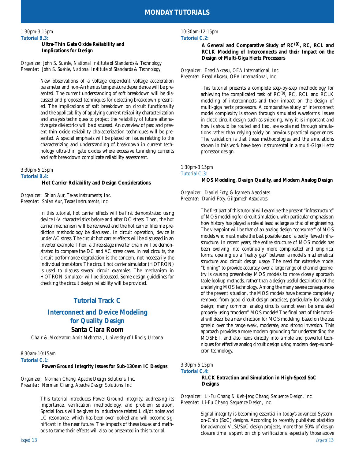#### *1:30pm-3:15pm* **Tutorial B.3:**

### **Ultra-Thin Gate Oxide Reliability and Implications for Design**

#### *Organizer: John S. Suehle, National Institute of Standards & Technology Presenter: John S. Suehle, National Institute of Standards & Technology*

New observations of a voltage dependent voltage acceleration parameter and non-Arrhenius temperature dependence will be presented. The current understanding of soft breakdown will be discussed and proposed techniques for detecting breakdown presented. The implications of soft breakdown on circuit functionality and the applicability of applying current reliability characterization and analysis techniques to project the reliability of future alternative gate dielectrics will be discussed. An overview of past and present thin oxide reliability characterization techniques will be presented. A special emphasis will be placed on issues relating to the characterizing and understanding of breakdown in current technology ultra-thin gate oxides where excessive tunneling currents and soft breakdown complicate reliability assessment.

#### *3:30pm-5:15pm* **Tutorial B.4:**

#### **Hot Carrier Reliability and Design Considerations**

*Organizer: Shian Aur, Texas Instruments, Inc. Presenter: Shian Aur, Texas Instruments, Inc.*

> In this tutorial, hot carrier effects will be first demonstrated using device I-V characteristics before and after DC stress. Then, the hot carrier mechanism will be reviewed and the hot carrier lifetime prediction methodology be discussed. In circuit operation, device is under AC stress. The circuit hot carrier effects will be discussed in an inverter example. Then, a three-stage inverter chain will be demonstrated to compare the DC and AC stress cases. In real circuits, the circuit performance degradation is the concern, not necessarily the individual transistors. The circuit hot carrier simulator (HOTRON) is used to discuss several circuit examples. The mechanism in HOTRON simulator will be discussed. Some design guidelines for checking the circuit design reliability will be provided.

# **Tutorial Track C**

# **Interconnect and Device Modeling for Quality Design**

# **Santa Clara Room**

*Chair & Moderator: Amit Mehrotra , University of Illinois, Urbana* 

#### *8:30am-10:15am* **Tutorial C.1:**

#### **Power/Ground Integrity Issues for Sub-130nm IC Designs**

*Organizer: Norman Chang, Apache Design Solutions, Inc. Presenter: Norman Chang, Apache Design Solutions, Inc.*

> This tutorial introduces Power-Ground integrity, addressing its importance, verification methodology, and problem solution. Special focus will be given to inductance related L di/dt noise and LC resonance, which has been over-looked and will become significant in the near future. The impacts of these issues and methods to tame their effects will also be presented in this tutorial.

#### *10:30am-12:15pm* **Tutorial C.2:**

#### **A General and Comparative Study of RC(0), RC, RCL and RCLK Modeling of Interconnects and their Impact on the Design of Multi-Giga Hertz Processors**

*Organizer: Ersed Akcasu, OEA International, Inc. Presenter: Ersed Akcasu, OEA International, Inc.*

> This tutorial presents a complete step-by-step methodology for achieving the complicated task of  $RC^{(0)}$ ,  $RC$ ,  $RCL$  and  $RCLK$ modeling of interconnects and their impact on the design of multi-giga hertz processors. A comparative study of interconnect model complexity is shown through simulated waveforms. Issues in clock circuit design such as shielding, why it is important and how is should be routed and tied, are explained through simulations rather than relying solely on previous practical experiences. The validation is that these methodologies and the simulations shown in this work have been instrumental in a multi-Giga Hertz processor design.

*1:30pm-3:15pm* Tutorial C.3: **MOS Modeling, Design Quality, and Modern Analog Design**

#### *Organizer: Daniel Foty, Gilgamesh Associates Presenter: Daniel Foty, Gilgamesh Associates*

The first part of this tutorial will examine the present "infrastructure" of MOS modeling for circuit simulation, with particular emphasis on how history has played a role at least as large as that of engineering. The viewpoint will be that of an analog design "consumer" of MOS models who must make the best possible use of a badly flawed infrastructure. In recent years, the entire structure of MOS models has been evolving into continually more complicated and empirical forms, opening up a "reality gap" between a model's mathematical structure and circuit design usage. The need for extensive model "binning" to provide accuracy over a large range of channel geometry is causing present-day MOS models to more closely approach table-lookup methods, rather than a design-useful description of the underlying MOS technology. Among the many severe consequences of the present situation, the MOS models have become completely removed from good circuit design practices, particularly for analog design; many common analog circuits cannot even be simulated properly using "modern" MOS models! The final part of this tutorial will describe a new direction for MOS modeling, based on the use gms/Id over the range weak, moderate, and strong inversion. This approach provides a more modern grounding for understanding the MOSFET, and also leads directly into simple and powerful techniques for effective analog circuit design using modern deep-submicron technology.

#### *3:30pm-5:15pm*

#### **Tutorial C.4:**

#### **RLCK Extraction and Simulation in High-Speed SoC Designs**

*Organizer: Li-Fu Chang & Keh-Jeng Chang, Sequence Design, Inc. Presenter: Li-Fu Chang, Sequence Design, Inc.*

> Signal integrity is becoming essential in today's advanced Systemon-Chip (SoC) designs. According to recently published statistics for advanced VLSI/SoC design projects, more than 50% of design closure time is spent on chip verifications, especially those above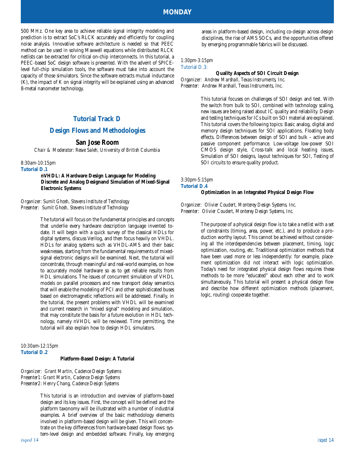500 MHz. One key area to achieve reliable signal integrity modeling and prediction is to extract SoC's RLCK accurately and efficiently for coupling noise analysis. Innovative software architecture is needed so that PEEC method can be used in solving Maxwell equations while distributed RLCK netlists can be extracted for critical on-chip interconnects. In this tutorial, a PEEC-based SoC design software is presented. With the advent of SPICElevel full-chip simulation tools, the software must take into account the capacity of those simulators. Since the software extracts mutual inductance (K), the impact of K on signal integrity will be explained using an advanced 8-metal nanometer technology.

# **Tutorial Track D**

### **Design Flows and Methodologies**

#### **San Jose Room**

*Chair & Moderator: Resve Saleh, University of British Columbia*

#### *8:30am-10:15pm*

**Tutorial D.1**

**nVHDL: A Hardware Design Language for Modeling Discrete and Analog Designand Simulation of Mixed-Signal Electronic Systems**

#### *Organizer: Sumit Ghosh, Stevens Institute of Technology Presenter: Sumit Ghosh, Stevens Institute of Technology*

The tutorial will focus on the fundamental principles and concepts that underlie every hardware description language invented todate. It will begin with a quick survey of the classical HDLs for digital systems, discuss Verilog, and then focus heavily on VHDL. HDLs for analog systems such as VHDL-AMS and their basic weaknesses, starting from the fundamental requirements of mixedsignal electronic designs will be examined. Next, the tutorial will concentrate, through meaningful and real-world examples, on how to accurately model hardware so as to get reliable results from HDL simulations. The issues of concurrent simulation of VHDL models on parallel processors and new transport delay semantics that will enable the modeling of PCI and other sophisticated buses based on electromagnetic reflections will be addressed. Finally, in the tutorial, the present problems with VHDL will be examined and current research in "mixed signal" modeling and simulation, that may constitute the basis for a future evolution in HDL technology, namely nVHDL will be reviewed. Time permitting, the tutorial will also explain how to design HDL simulators.

#### *10:30am-12:15pm* **Tutorial D.2 Platform-Based Design: A Tutorial**

*Organizer: Grant Martin, Cadence Design Systems Presenter1: Grant Martin, Cadence Design Systems Presenter2: Henry Chang, Cadence Design Systems*

> This tutorial is an introduction and overview of platform-based design and its key issues. First, the concept will be defined and the platform taxonomy will be illustrated with a number of industrial examples. A brief overview of the basic methodology elements involved in platform-based design will be given. This will concentrate on the key differences from hardware-based design flows: system-level design and embedded software. Finally, key emerging

areas in platform-based design, including co-design across design disciplines, the rise of AMS SOCs, and the opportunities offered by emerging programmable fabrics will be discussed.

#### *1:30pm-3:15pm* Tutorial D.3:

#### **Quality Aspects of SOI Circuit Design** *Organizer: Andrew Marshall, Texas Instruments, Inc. Presenter: Andrew Marshall, Texas Instruments, Inc.*

This tutorial focuses on challenges of SOI design and test. With the switch from bulk to SOI, combined with technology scaling, new issues are being raised about IC quality and reliability. Design and testing techniques for ICs built on SOI material are explained. This tutorial covers the following topics: Basic analog, digital and memory design techniques for SOI applications. Floating body effects. Differences between design of SOI and bulk – active and passive component performance. Low-voltage low-power SOI CMOS design style, Cross-talk and local heating issues, Simulation of SOI designs, layout techniques for SOI, Testing of SOI circuits to ensure quality product.

#### *3:30pm-5:15pm* **Tutorial D.4 Optimization in an Integrated Physical Design Flow**

*Organizer: Olivier Coudert, Monterey Design Systems, Inc. Presenter: Olivier Coudert, Monterey Design Systems, Inc.*

> The purpose of a physical design flow is to take a netlist with a set of constraints (timing, area, power, etc.), and to produce a production worthy layout. This cannot be achieved without considering all the interdependencies between placement, timing, logic optimization, routing, etc. Traditional optimization methods that have been used more or less independently: for example, placement optimization did not interact with logic optimization. Today's need for integrated physical design flows requires these methods to be more "educated" about each other and to work simultaneously. This tutorial will present a physical design flow and describe how different optimization methods (placement, logic, routing) cooperate together.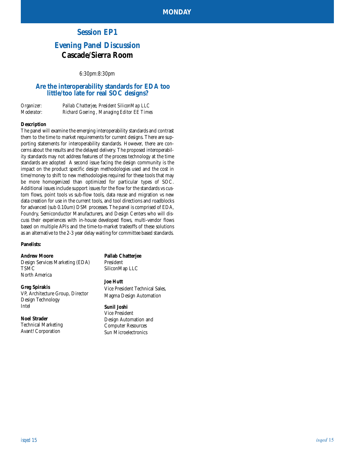# **Session EP1**

# **Evening Panel Discussion Cascade/Sierra Room**

*6:30pm:8:30pm*

# **Are the interoperability standards for EDA too little/too late for real SOC designs?**

| Organizer:        | Pallab Chatterjee, President SiliconMap LLC |
|-------------------|---------------------------------------------|
| <i>Moderator:</i> | Richard Goering, Managing Editor EE Times   |

#### **Description**

The panel will examine the emerging interoperability standards and contrast them to the time to market requirements for current designs. There are supporting statements for interoperability standards. However, there are concerns about the results and the delayed delivery. The proposed interoperability standards may not address features of the process technology at the time standards are adopted A second issue facing the design community is the impact on the product specific design methodologies used and the cost in time/money to shift to new methodologies required for these tools that may be more homogenized than optimized for particular types of SOC. Additional issues include support issues for the flow for the standards vs custom flows, point tools vs sub-flow tools, data reuse and migration vs new data creation for use in the current tools, and tool directions and roadblocks for advanced (sub 0.10um) DSM processes. The panel is comprised of EDA, Foundry, Semiconductor Manufacturers, and Design Centers who will discuss their experiences with in-house developed flows, multi-vendor flows based on multiple APIs and the time-to-market tradeoffs of these solutions as an alternative to the 2-3 year delay waiting for committee based standards.

#### **Panelists:**

#### **Andrew Moore**

Design Services Marketing (EDA) TSMC North America

#### **Greg Spirakis**

VP, Architecture Group, Director Design Technology Intel

#### **Noel Strader**

Technical Marketing Avant! Corporation

**Pallab Chatterjee** President

SiliconMap LLC

#### **Joe Hutt**

Vice President Technical Sales, Magma Design Automation

# **Sunil Joshi**

Vice President Design Automation and Computer Resources Sun Microelectronics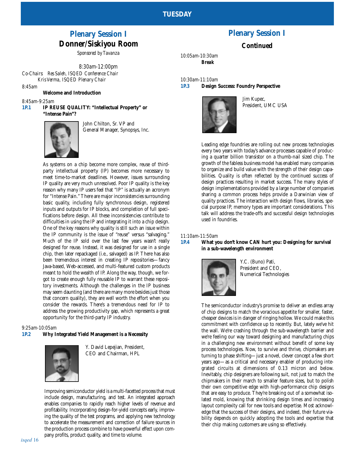# **Plenary Session I Donner/Siskiyou Room**

*Sponsored by Tavanza*

*8:30am-12:00pm Co-Chairs: Res Saleh, ISQED Conference Chair Kris Verma, ISQED Plenary Chair*

*8:45am*

### **Welcome and Introduction**

*8:45am-9:25am*

**1P.1 IP REUSE QUALITY: "Intellectual Property" or "Intense Pain"?**



John Chilton, Sr. VP and General Manager, Synopsys, Inc.

As systems on a chip become more complex, reuse of thirdparty intellectual property (IP) becomes more necessary to meet time-to-market deadlines. However, issues surrounding IP quality are very much unresolved. Poor IP quality is the key reason why many IP users feel that "IP" is actually an acronym for "Intense Pain." There are major inconsistencies surrounding basic quality, including fully synchronous design, registered inputs and outputs for IP blocks, and completion of full specifications before design. All these inconsistencies contribute to difficulties in using the IP and integrating it into a chip design. One of the key reasons why quality is still such an issue within the IP community is the issue of "reuse" versus "salvaging." Much of the IP sold over the last few years wasn't really designed for reuse. Instead, it was designed for use in a single chip, then later repackaged (i.e., salvaged) as IP. There has also been tremendous interest in creating IP repositories—fancy Java-based, Web-accessed, and multi-featured custom products meant to hold the wealth of IP. Along the way, though, we forgot to create enough fully reusable IP to warrant these repository investments. Although the challenges in the IP business may seem daunting (and there are many more besides just those that concern quality), they are well worth the effort when you consider the rewards. There's a tremendous need for IP to address the growing productivity gap, which represents a great opportunity for the third-party IP industry.

*9:25am-10:05am*

#### **1P.2 Why Integrated Yield Management is a Necessity**



Y. David Lepejian, President, CEO and Chairman, HPL

Improving semiconductor yield is a multi-facetted process that must include design, manufacturing, and test. An integrated approach enables companies to rapidly reach higher levels of revenue and profitability. Incorporating design-for-yield concepts early, improving the quality of the test programs, and applying new technology to accelerate the measurement and correction of failure sources in the production process combine to have powerful effect upon company profits, product quality, and time to volume.

# **Plenary Session I**

## **Continued**

*10:05am-10:30am Break*

*10:30am-11:10am* **1P.3 Design Success: Foundry Perspective** 



Jim Kupec, President, UMC USA

Leading edge foundries are rolling out new process technologies every two years with today's advance processes capable of producing a quarter billion transistor on a thumb-nail sized chip. The growth of the fabless business model has enabled many companies to organize and build value with the strength of their design capabilities. Quality is often reflected by the continued success of design practices resulting in market success. The many styles of design implementations provided by a large number of companies sharing a common process helps provide a Darwinian view of quality practices. The interaction with design flows, libraries, special purpose IP, memory types are important considerations. This talk will address the trade-offs and successful design technologies used in foundries.

#### *11:10am-11:50am*

#### **1P.4 What you don't know CAN hurt you: Designing for survival in a sub-wavelength environment**



Y.C. (Buno) Pati, President and CEO, Numerical Technologies

The semiconductor industry's promise to deliver an endless array of chip designs to match the voracious appetite for smaller, faster, cheaper devices is in danger of ringing hollow. We could make this commitment with confidence up to recently. But, lately we've hit the wall. We're crashing through the sub-wavelength barrier and we're feeling our way toward designing and manufacturing chips in a challenging new environment without benefit of some key process technologies. Now, to survive and thrive, chipmakers are turning to phase shifting—just a novel, clever concept a few short years ago—as a critical and necessary enabler of producing integrated circuits at dimensions of 0.13 micron and below. Inevitably, chip designers are following suit, not just to match the chipmakers in their march to smaller feature sizes, but to polish their own competitive edge with high-performance chip designs that are easy to produce. They're breaking out of a somewhat isolated mold, knowing that shrinking design times and increasing layout complexity call for new tools and expertise. Most acknowledge that the success of their designs, and indeed, their future viability depends on quickly adopting the tools and expertise that their chip making customers are using so effectively.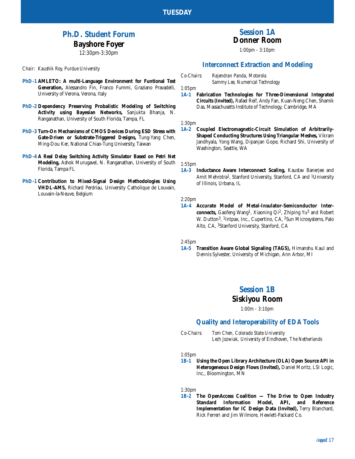# **Ph.D. Student Forum Bayshore Foyer**

*12:30pm-3:30pm*

*Chair: Kaushik Roy, Purdue University*

- **PhD-1 AMLETO: A multi-Language Environment for Funtional Test Generation,** Alessandro Fin, Franco Fummi, Graziano Pravadelli, University of Verona, Verona, Italy
- **PhD-2 Dependency Preserving Probalistic Modeling of Switching Activity using Bayesian Networks,** Sanjukta Bhanja, N. Ranganathan, University of South Florida, Tampa, FL
- **PhD-3 Turn-On Mechanisms of CMOS Devices During ESD Stress with Gate-Driven or Substrate-Triggered Designs,** Tung-Yang Chen, Ming-Dou Ker, National Chiao-Tung University, Taiwan
- **PhD-4 A Real Delay Switching Activity Simulator Based on Petri Net Modeling,** Ashok Murugavel, N. Ranganathan, University of South Florida, Tampa FL
- **PhD-1 Contribution to Mixed-Signal Design Methodologies Using VHDL-AMS,** Richard Perdriau, University Catholique de Louvain, Louvain-la-Neuve, Belgium

# **Session 1A Donner Room**

*1:00pm - 3:10pm*

# **Interconnect Extraction and Modeling**

*Co-Chairs: Rajendran Panda, Motorola*

*Sammy Lee, Numerical Technology*

*1:05pm*

**1A-1 Fabrication Technologies for Three-Dimensional Integrated Circuits (Invited),** Rafael Reif, Andy Fan, Kuan-Neng Chen, Shamik Das, Massachusetts Institute of Technology, Cambridge, MA

#### *1:30pm*

**1A-2 Coupled Electromagnetic-Circuit Simulation of Arbitrarily-Shaped Conducting Structures Using Triangular Meshes,** Vikram Jandhyala, Yong Wang, Dipanjan Gope, Richard Shi, University of Washington, Seattle, WA

# *1:55pm*

**Inductance Aware Interconnect Scaling, Kaustav Banerjee and** Amit Mehrotra<sup>1</sup>, Stanford University, Stanford, CA and <sup>1</sup>University of Illinois, Urbana, IL

#### *2:20pm*

**1A-4 Accurate Model of Metal-Insulator-Semiconductor Interconnects,** Gaofeng Wang1, Xiaoning Qi2, Zhiping Yu3 and Robert W. Dutton3, 1Intpax, Inc., Cupertino, CA, 2Sun Microsystems, Palo Alto, CA, 3Stanford University, Stanford, CA

#### *2:45pm*

**1A-5 Transition Aware Global Signaling (TAGS),** Himanshu Kaul and Dennis Sylvester, University of Michigan, Ann Arbor, MI

# **Session 1B**

# **Siskiyou Room**

*1:00m - 3:10pm*

# **Quality and Interoperability of EDA Tools**

*Co-Chairs: Tom Chen, Colorado State University Lech Jozwiak, University of Eindhoven, The Netherlands*

*1:05pm*

**1B-1 Using the Open Library Architecture (OLA) Open Source API in Heterogeneous Design Flows (Invited),** Daniel Moritz, LSI Logic, Inc., Bloomington, MN

*1:30pm*

**1B-2 The OpenAccess Coalition — The Drive to Open Industry Standard Information Model, API, and Reference Implementation for IC Design Data (Invited),** Terry Blanchard, Rick Ferreri and Jim Wilmore, Hewlett-Packard Co.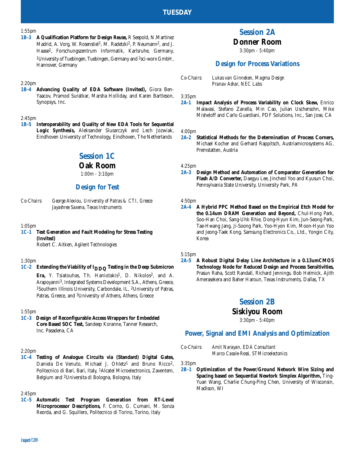#### *1:55pm*

**1B-3 A Qualification Platform for Design Reuse,** R Seepold, N.Martinez Madrid, A. Vorg, W. Rosenstiel<sup>1</sup>, M. Radetzki<sup>2</sup>, P. Neumann<sup>2</sup>, and J. Haase2, Forschungszentrum Informatik, Karlsruhe, Germany, 1University of Tuebingen, Tuebingen, Germany and 2sci-worx GmbH, Hannover, Germany

#### *2:20pm*

**1B-4 Advancing Quality of EDA Software (Invited),** Giora Ben-Yaacov, Pramod Suratkar, Marsha Holliday, and Karen Bartleson, Synopsys, Inc.

# *2:45pm*

**1B-5 Interoperability and Quality of New EDA Tools for Sequential Logic Synthesis,** Aleksander Slusarczyk and Lech Jozwiak, Eindhoven University of Technology, Eindhoven, The Netherlands

# **Session 1C**

#### **Oak Room**

*1:00m - 3:10pm*

#### **Design for Test**

*Co-Chairs: George Alexiou, University of Patras & CTI, Greece Jayashree Saxena, Texas Instruments*

#### *1:05pm*

**1C-1 Test Generation and Fault Modeling for Stress Testing (Invited)** Robert C. Aitken, Agilent Technologies

#### *1:30pm*

**1C-2 Extending the Viability of IDDQ Testing in the Deep Submicron** Era, Y. Tsiatouhas, Th. Haniotakis<sup>1</sup>, D. Nikolos<sup>2</sup>, and A.

Arapoyanni3, Integrated Systems Development S.A., Athens, Greece, 1Southern Illinois University, Carbondale, IL, 2University of Patras, Patras, Greece, and 3University of Athens, Athens, Greece

#### *1:55pm*

**1C-3 Design of Reconfigurable Access Wrappers for Embedded Core Based SOC Test,** Sandeep Koranne, Tanner Research, Inc. Pasadena, CA

#### *2:20pm*

**1C-4 Testing of Analogue Circuits via (Standard) Digital Gates,** Daniela De Venuto, Michael J. Ohletz<sup>1</sup> and Bruno Ricco<sup>2</sup>, Politecnico di Bari, Bari, Italy, 1Alcatel Microelectronics, Zaventem, Belgium and 2Universita di Bologna, Bologna, Italy

#### *2:45pm*

**1C-5 Automatic Test Program Generation from RT-Level Microprocessor Descriptions,** F. Corno, G. Cumani, M. Sonza Reorda, and G. Squillero, Politecnico di Torino, Torino, Italy

# **Session 2A Donner Room**

*3:30pm - 5:40pm*

### **Design for Process Variations**

#### *3:35pm*

**2A-1 Impact Analysis of Process Variability on Clock Skew,** Enrico Malavasi, Stefano Zanella, Min Cao, Julian Uschersohn, Mike Misheloff and Carlo Guardiani, PDF Solutions, Inc., San Jose, CA

#### *4:00pm*

**2A-2 Statistical Methods for the Determination of Process Corners,** Michael Kocher and Gerhard Rappitsch, Austriamicrosystems AG, Premstatten, Austria

### *4:25pm*

**2A-3 Design Method and Automation of Comparator Generation for Flash A/D Converter,** Daegyu Lee, Jincheol Yoo and Kyusun Choi, Pennsylvania State University, University Park, PA

#### *4:50pm*

**2A-4 A Hybrid PPC Method Based on the Empirical Etch Model for the 0.14um DRAM Generation and Beyond,** Chul-Hong Park, Soo-Han Choi, Sang-Uhk Rhie, Dong-Hyun Kim, Jun-Seong Park, Tae-Hwang Jang, Ji-Soong Park, Yoo-Hyon Kim, Moon-Hyun Yoo and Jeong-Taek Kong, Samsung Electronics Co., Ltd., Yongin City, Korea

#### *5:15pm*

**2A-5 A Robust Digital Delay Line Architecture in a 0.13umCMOS Technology Node for Reduced Design and Process Sensitivities,** Prasun Raha, Scott Randall, Richard Jennings, Bob Helmick, Ajith Amerasekera and Baher Haroun, Texas Instruments, Dallas, TX

# **Session 2B**

# **Siskiyou Room**

*3:30pm - 5:40pm*

#### **Power, Signal and EMI Analysis and Optimization**

*Co-Chairs: Amit Narayan, EDA Consultant Marco Casale-Rossi, STMicroelectonics*

*3:35pm*

#### **2B-1 Optimization of the Power/Ground Network Wire Sizing and Spacing based on Sequential Newtork Simplex Algorithm,** Ting-Yuan Wang, Charlie Chung-Ping Chen, University of Wisconsin, Madison, WI

*Co-Chairs: Lukas van Ginneken, Magma Design Pranav Ashar, NEC Labs*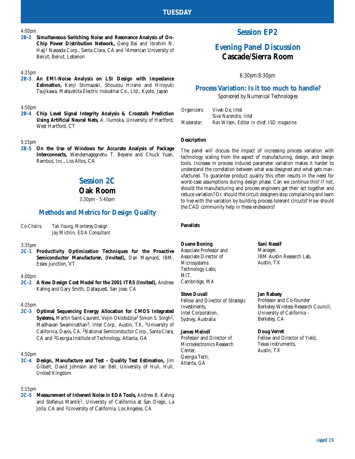#### *4:00pm*

**2B-2 Simultaneous Switching Noise and Resonance Analysis of On-Chip Power Distribution Network,** Geng Bai and Ibrahim N. Hajj1 Nassada Corp., Santa Clara, CA and 1American University of Beirut, Beirut, Lebanon

#### *4:25pm*

**2B-3 An EMI-Noise Analysis on LSI Design with Impedance Estimation,** Kenji Shimazaki, Shouzou Hirano and Hiroyuki Tsujikawa, Matsushita Electric Industrial Co., Ltd., Kyoto, Japan

#### *4:50pm*

**2B-4 Chip Level Signal Integrity Analysis & Crosstalk Prediction Using Artificial Neural Nets,** A. Ilumoka, University of Hartford, West Hartford, CT

#### *5:15pm*

**2B-5 On the Use of Windows for Accurate Analysis of Package Interconnects,** Wendemagegnehu T. Beyene and Chuck Yuan, Rambus, Inc., Los Altos, CA

# **Session 2C**

# **Oak Room**

*3:30pm - 5:40pm*

# **Methods and Metrics for Design Quality**

*Co-Chairs: Tak Young, Monterey Design Jay Michlin, EDA Consultant*

#### *3:35pm*

**2C-1 Productivity Optimization Techniques for the Proactive Semiconductor Manufacturer, (Invited),** Dan Maynard, IBM, Essex Junction, VT

#### *4:00pm*

**2C-2 A New Design Cost Model for the 2001 ITRS (Invited),** Andrew Kahng and Gary Smith, Dataquest, San Jose, CA

#### *4:25pm*

**2C-3 Optimal Sequencing Energy Allocation for CMOS Integrated Systems,** Martin Saint-Laurent, Vojin Oklobdzija<sup>1</sup> Simon S. Singh<sup>2</sup>, Madhavan Swaminathan3, Intel Corp., Austin, TX, 1University of California, Davis, CA, 2National Semiconductor Corp., Santa Clara, CA and 3Georgia Institute of Technology, Atlanta, GA

#### *4:50pm*

**2C-4 Design, Manufacture and Test - Quality Test Estimation,** Jim Gilbert, David Johnson and Ian Bell, University of Hull, Hull, United Kingdom

#### *5:15pm*

**2C-5 Measurement of Inherent Noise in EDA Tools,** Andrew B. Kahng and Stefanus Mantik1, University of California at San Diego, La Jolla, CA and 1University of California, Los Angeles, CA

# **Session EP2**

# **Evening Panel Discussion Cascade/Sierra Room**

*6:30pm:8:30pm*

# **Process Variation: Is it too much to handle?**

*Sponsored by Numerical Technologies*

| Organizers:       | Vivek De. Intel                           |
|-------------------|-------------------------------------------|
|                   | Siva Narendra. Intel                      |
| <i>Moderator:</i> | Ron Wilson, Editor in chief, ISD magazine |

#### **Description**

The panel will discuss the impact of increasing process variation with technology scaling from the aspect of manufacturing, design, and design tools. Increase in process induced parameter variation makes it harder to understand the correlation between what was designed and what gets manufactured. To guarantee product quality this often results in the need for worst-case assumptions during design phase. Can we continue this? If not, should the manufacturing and process engineers get their act together and reduce variation? Or, should the circuit designers stop complaining and learn to live with the variation by building process tolerant circuits? How should the CAD community help in these endeavors?

#### **Panelists**

#### **Duane Boning**

Associate Professor and Associate Director of Microsystems Technology Labs, MIT, Cambridge, MA

**Steve Duvall** Fellow and Director of Strategic Investments, Intel Corporation, Sydney, Australia

#### **James Meindl** Professor and Director of Microelectronics Research Center,

Georgia Tech, Atlanta, GA

Austin, TX

IBM Austin Research Lab,

**Jan Rabaey** Professor and Co-founder Berkeley Wireless Research Council, University of California – Berkeley, CA

#### **Doug Verret**

**Sani Nassif** Manager,

Fellow and Director of Yield, Texas Instruments, Austin, TX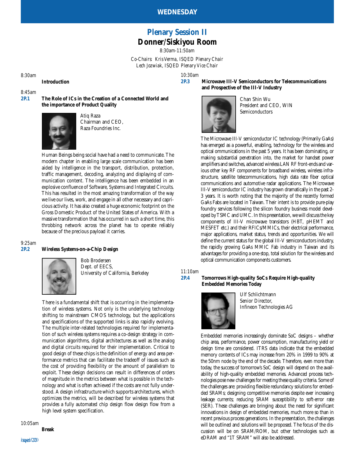# **Plenary Session II Donner/Siskiyou Room**

*8:30am-11:50am Co-Chairs: Kris Verma, ISQED Plenary Chair Lech Jozwiak, ISQED Plenary Vice Chair*

*10:30am*

*8:30am*

**Introduction**

*8:45am*

**2P.1 The Role of ICs in the Creation of a Connected World and the importance of Product Quality**



Atiq Raza Chairman and CEO, Raza Foundries Inc.

Human Beings being social have had a need to communicate. The modern chapter in enabling large scale communication has been aided by intelligence in the transport, distribution, protection, traffic management, decoding, analyzing and displaying of communication content. The intelligence has been embedded in an explosive confluence of Software, Systems and Integrated Circuits. This has resulted in the most amazing transformation of the way we live our lives, work, and engage in all other necessary and capricious activity. It has also created a huge economic footprint on the Gross Domestic Product of the United States of America. With a massive transformation that has occurred in such a short time, this throbbing network across the planet has to operate reliably because of the precious payload it carries.

*9:25am*

# **2P.2 Wireless Systems-on-a-Chip Design**



Bob Brodersen Dept. of EECS, University of California, Berkeley

There is a fundamental shift that is occurring in the implementation of wireless systems. Not only is the underlying technology shifting to mainstream CMOS technology, but the applications and specifications of the supported links is also rapidly evolving. The multiple inter-related technologies required for implementation of such wireless systems requires a co-design strategy in communication algorithms, digital architectures as well as the analog and digital circuits required for their implementation. Critical to good design of these chips is the definition of energy and area performance metrics that can facilitate the tradeoff of issues such as the cost of providing flexibility or the amount of parallelism to exploit. These design decisions can result in differences of orders of magnitude in the metrics between what is possible in the technology and what is often achieved if the costs are not fully understood. A design infrastructure which supports architectures, which optimizes the metrics, will be described for wireless systems that provides a fully automated chip design flow design flow from a high level system specification.

*10:05am*

**Break**

**2P.3 Microwave III-V Semiconductors for Telecommunications and Prospective of the III-V Industry**



Chan Shin Wu President and CEO, WIN **Semiconductors** 

The Microwave III-V semiconductor IC technology (Primarily GaAs) has emerged as a powerful, enabling, technology for the wireless and optical ommunications in the past 5 years. It has been dominating, or making substantial penetration into, the market for handset power amplifiers and switches, advanced wireless LAN RF front-ends and various other key RF components for broadband wireless, wireless infrastructure, satellite telecommunications, high data rate fiber optical communications and automotive radar applications. The Microwave III-V semiconductor IC industry has grown dramatically in the past 2- 3 years. It is worth noting that the majority of the recently formed GaAs Fabs are located in Taiwan. Their intent is to provide pure-play foundry services following the silicon foundry business model developed by TSMC and UMC. In this presentation, we will discuss the key components of III-V microwave transistors (HBT, pHEMT and MESFET etc.) and their RFICs/MMICs, their electrical performance, major applications, market status, trends and opportunities. We will define the current status for the global III-V semiconductors industry, the rapidly growing GaAs MMIC Fab industry in Taiwan and its advantages for providing a one-stop, total solution for the wireless and optical communication components customers.

*11:10am*

#### **2P.4 Tomorrows High-quality SoCs Require High-quality Embedded Memories Today**



Ulf Schlichtmann Senior Director, Infineon Technologies AG

Embedded memories increasingly dominate SoC designs – whether chip area, performance, power consumption, manufacturing yield or design time are considered. ITRS data indicate that the embedded memory contents of ICs may increase from 20% in 1999 to 90% at the 50nm node by the end of the decade. Therefore, even more than today, the success of tomorrow's SoC design will depend on the availability of high-quality embedded memories. Advanced process technologies pose new challenges for meeting these quality criteria. Some of the challenges are: providing flexible redundancy solutions for embedded SRAMs; designing competitive memories despite ever increasing leakage currents; reducing SRAM susceptibility to soft-error rate (SER). These challenges are bringing about the need for significant innovations in design of embedded memories, much more so than in recent previous process generations. In the presentation, the challenges will be outlined and solutions will be proposed. The focus of the discussion will be on SRAM/ROM, but other technologies such as eDRAM and "1T SRAM" will also be addressed.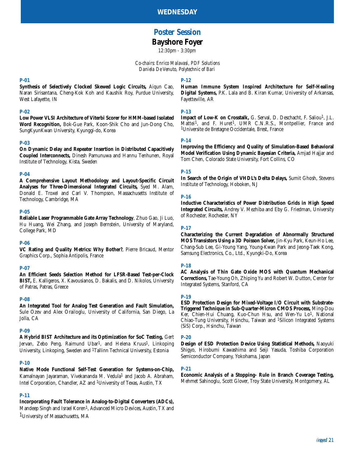# **Poster Session Bayshore Foyer**

*12:30pm - 3:30pm*

*Co-chairs: Enrico Malavasi, PDF Solutions Daniela De Venuto, Polytechnic of Bari*

#### **P-01**

**Synthesis of Selectively Clocked Skewed Logic Circuits,** Aiqun Cao, Naran Sirisantana, Cheng-Kok Koh and Kaushik Roy, Purdue University, West Lafayette, IN

#### **P-02**

**Low Power VLSI Architecture of Viterbi Scorer for HMM-based Isolated Word Recognition,** Bok-Gue Park, Koon-Shik Cho and Jun-Dong Cho, SungKyunKwan University, Kyunggi-do, Korea

#### **P-03**

**On Dynamic Delay and Repeater Insertion in Distributed Capacitively Coupled Interconnects,** Dinesh Pamunuwa and Hannu Tenhunen, Royal Institute of Technology, Kista, Sweden

#### **P-04**

**A Comprehensive Layout Methodology and Layout-Specific Circuit Analyses for Three-Dimensional Integrated Circuits,** Syed M. Alam, Donald E. Troxel and Carl V. Thompson, Massachusetts Institute of Technology, Cambridge, MA

#### **P-05**

**Reliable Laser Programmable Gate Array Technology**, Zhuo Gao, Ji Luo, Hu Huang, Wei Zhang, and Joseph Bernstein, University of Maryland, College Park, MD

#### **P-06**

**VC Rating and Quality Metrics: Why Bother?**, Pierre Bricaud, Mentor Graphics Corp., Sophia Antipolis, France

#### **P-07**

**An Efficient Seeds Selection Method for LFSR-Based Test-per-Clock BIST,** E. Kalligeros, X. Kavousianos, D. Bakalis, and D. Nikolos, University of Patras, Patras, Greece

#### **P-08**

**An Integrated Tool for Analog Test Generation and Fault Simulation,** Sule Ozev and Alex Orailoglu, University of California, San Diego, La Jolla, CA

#### **P-09**

**A Hybrid BIST Architecture and its Optimization for SoC Testing,** Gert Jervan, Zebo Peng, Raimund Ubar<sup>1</sup>, and Helena Kruus<sup>1</sup>, Linkoping University, Linkoping, Sweden and 1Tallinn Technical University, Estonia

#### **P-10**

**Native Mode Functional Self-Test Generation for Systems-on-Chip,** Kamalnayan Jayaraman, Vivekananda M. Vedula1 and Jacob A. Abraham, Intel Corporation, Chandler, AZ and 1University of Texas, Austin, TX

### **P-11**

#### **Incorporating Fault Tolerance in Analog-to-Digital Converters (ADCs),**

Mandeep Singh and Israel Koren<sup>1</sup>, Advanced Micro Devices, Austin, TX and 1University of Massachusetts, MA

#### **P-12**

**Human Immune System Inspired Architecture for Self-Healing Digital Systems,** P.K. Lala and B. Kiran Kumar, University of Arkansas, Fayetteville, AR

#### **P-13**

Impact of Low-K on Crosstalk, G. Serval, D. Deschacht, F. Saliou<sup>1</sup>, J.L. Mattei<sup>1</sup>, and F. Huret<sup>1</sup>, UMR C.N.R.S., Montpellier, France and 1Universite de Bretagne Occidentale, Brest, France

#### **P-14**

**Improving the Efficiency and Quality of Simulation-Based Behavioral Model Verification Using Dynamic Bayesian Criteria,** Amjad Hajjar and Tom Chen, Colorado State University, Fort Collins, CO

#### **P-15**

**In Search of the Origin of VHDL's Delta Delays,** Sumit Ghosh, Stevens Institute of Technology, Hoboken, NJ

#### **P-16**

**Inductive Characteristics of Power Distribution Grids in High Speed Integrated Circuits,** Andrey V. Mezhiba and Eby G. Friedman, University of Rochester, Rochester, NY

#### **P-17**

**Characterizing the Current Degradation of Abnormally Structured MOS Transistors Using a 3D Poisson Solver,** Jin-Kyu Park, Keun-Ho Lee, Chang-Sub Lee, Gi-Young Yang, Young-Kwan Park and Jeong-Taek Kong, Samsung Electronics, Co., Ltd., Kyungki-Do, Korea

#### **P-18**

**AC Analysis of Thin Gate Oxide MOS with Quantum Mechanical Corrections,** Tae-Young Oh, Zhiping Yu and Robert W. Dutton, Center for Integrated Systems, Stanford, CA

#### **P-19**

**ESD Protection Design for Mixed-Voltage I/O Circuit with Substrate-Triggered Technique in Sub-Quarter-Micron CMOS Process,** Ming-Dou Ker, Chien-Hui Chuang, Kuo-Chun Hsu, and Wen-Yu Lo<sup>1</sup>, National Chiao-Tung University, Hsinchu, Taiwan and 1Silicon Integrated Systems (SiS) Corp., Hsinchu, Taiwan

#### **P-20**

**Design of ESD Protection Device Using Statistical Methods,** Naoyuki Shigyo, Hirobumi Kawashima and Seiji Yasuda, Toshiba Corporation Semiconductor Company, Yokohama, Japan

#### **P-21**

**Economic Analysis of a Stopping- Rule in Branch Coverage Testing,** Mehmet Sahinoglu, Scott Glover, Troy State University, Montgomery, AL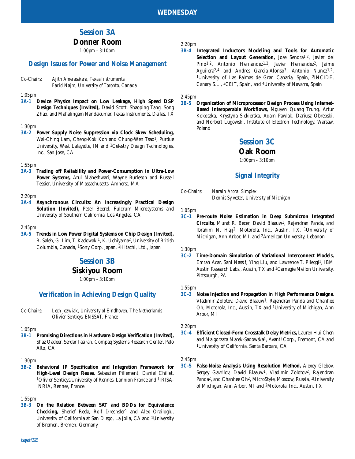# **Session 3A**

# **Donner Room**

*1:00pm - 3:10pm*

# **Design Issues for Power and Noise Management**

*Co-Chairs: Ajith Amerasekera, Texas Instruments Farid Najm, University of Toronto, Canada*

*1:05pm*

**3A-1 Device Physics Impact on Low Leakage, High Speed DSP Design Techniques (Invited),** David Scott, Shaoping Tang, Song Zhao, and Mahalingam Nandakumar, Texas Instruments, Dallas, TX

#### *1:30pm*

**3A-2 Power Supply Noise Suppression via Clock Skew Scheduling,** Wai-Ching Lam, Cheng-Kok Koh and Chung-Wen Tsao1, Purdue University, West Lafayette, IN and 1Celestry Design Technologies, Inc., San Jose, CA

#### *1:55pm*

**3A-3 Trading off Reliability and Power-Consumption in Ultra-Low Power Systems,** Atul Maheshwari, Wayne Burleson and Russell Tessier, University of Massachusetts, Amherst, MA

#### *2:20pm*

**3A-4 Asynchronous Circuits: An Increasingly Practical Design Solution (Invited),** Peter Beerel, Fulcrum Microsystems and University of Southern California, Los Angeles, CA

#### *2:45pm*

**3A-5 Trends in Low Power Digital Systems on Chip Design (Invited),** R. Saleh, G. Lim, T. Kadowaki<sup>1</sup>, K. Uchiyama<sup>2</sup>, University of British Columbia, Canada, 1Sony Corp. Japan, 2Hitachi, Ltd., Japan

# **Session 3B**

# **Siskiyou Room**

*1:00pm - 3:10pm*

# **Verification in Achieving Design Quality**

*Co-Chairs: Lech Jozwiak, University of Eindhoven, The Netherlands Olivier Sentieys, ENSSAT, France*

#### *1:05pm*

**3B-1 Promising Directions in Hardware Design Verification (Invited),** Shaz Qadeer, Serdar Tasiran, Compaq Systems Research Center, Palo Alto, CA

#### *1:30pm*

**3B-2 Behavioral IP Specification and Integration Framework for High-Level Design Reuse,** Sebastien Pillement, Daniel Chillet, 1Olivier Sentieys,University of Rennes, Lannion France and 1IRISA-INRIA, Rennes, France

#### *1:55pm*

**3B-3 On the Relation Between SAT and BDDs for Equivalence** Checking, Sherief Reda, Rolf Drechsler<sup>1</sup> and Alex Orailoglu, University of California at San Diego, La Jolla, CA and 1University of Bremen, Bremen, Germany

#### *2:20pm*

**3B-4 Integrated Inductors Modeling and Tools for Automatic** Selection and Layout Generation, Jose Sendra<sup>1,2</sup>, Javier del Pino<sup>1,2</sup>, Antonio Hernandez<sup>1,2</sup>, Javier Hernandez<sup>2</sup>, Jaime Aguilera<sup>2,4</sup> and Andres Garcia-Alonso<sup>3</sup>, Antonio Nunez<sup>1,2</sup>, 1University of Las Palmas de Gran Canaria, Spain, 2INCIDE, Canary S.L., 3CEIT, Spain, and 4University of Navarra, Spain

### *2:45pm*

**3B-5 Organization of Microprocessor Design Process Using Internet-Based Interoperable Workflows,** Nguyen Quang Trung, Artur Kokoszka, Krystyna Siekierska, Adam Pawlak, Dariusz Obrebski, and Norbert Lugowski, Institute of Electron Technology, Warsaw, Poland

# **Session 3C**

#### **Oak Room**

*1:00pm - 3:10pm*

# **Signal Integrity**

*Co-Chairs: Narain Arora, Simplex Dennis Sylvester, University of Michigan*

*1:05pm*

**3C-1 Pre-route Noise Estimation in Deep Submicron Integrated Circuits, Murat R. Becer, David Blaauw<sup>1</sup>, Rajendran Panda, and** Ibrahim N. Hajj2, Motorola, Inc., Austin, TX, 1University of Michigan, Ann Arbor, MI, and 2American University, Lebanon

*1:30pm* **3C-2 Time-Domain Simulation of Variational Interconnect Models,** Emrah Acar, Sani Nassif, Ying Liu, and Lawrence T. Pileggi1, IBM Austin Research Labs., Austin, TX and 1Carnegie Mellon University, Pittsburgh, PA

#### *1:55pm*

**3C-3 Noise Injection and Propagation in High Performance Designs,** Vladimir Zolotov, David Blaauw1, Rajendran Panda and Chanhee Oh, Motorola, Inc., Austin, TX and 1University of Michigan, Ann Arbor, MI

#### *2:20pm*

**3C-4 Efficient Closed-Form Crosstalk Delay Metrics,** Lauren Hui Chen and Malgorzata Marek-Sadowska<sup>1</sup>, Avant! Corp., Fremont, CA and 1University of California, Santa Barbara, CA

#### *2:45pm*

**3C-5 False-Noise Analysis Using Resolution Method,** Alexey Glebov, Sergey Gavrilov, David Blaauw<sup>1</sup>, Vladimir Zolotov<sup>2</sup>, Rajendran Panda<sup>2</sup>, and Chanhee Oh<sup>2</sup>, MicroStyle, Moscow, Russia, <sup>1</sup>University of Michigan, Ann Arbor, MI and 2Motorola, Inc., Austin, TX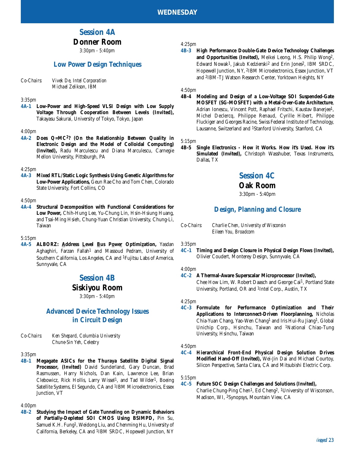# **Session 4A**

# **Donner Room**

*3:30pm - 5:40pm*

# **Low Power Design Techniques**

*Co-Chairs: Vivek De, Intel Corporation Michael Zelikson, IBM*

*3:35pm*

**4A-1 Low-Power and High-Speed VLSI Design with Low Supply Voltage Through Cooperation Between Levels (Invited),** Takayasu Sakurai, University of Tokyo, Tokyo, Japan

#### *4:00pm*

**4A-2 Does Q=MC2? (On the Relationship Between Quality in Electronic Design and the Model of Colloidal Computing) (Invited),** Radu Marculescu and Diana Marculescu, Carnegie Mellon University, Pittsburgh, PA

#### *4:25pm*

**4A-3 Mixed RTL/Static Logic Synthesis Using Genetic Algorithms for Low-Power Applications,** Geun Rae Cho and Tom Chen, Colorado State University, Fort Collins, CO

# *4:50pm*

**4A-4 Structural Decomposition with Functional Considerations for Low Power,** Chih-Hung Lee, Yu-Chung Lin, Hsin-Hsiung Huang, and Tsai-Ming Hsieh, Chung-Yuan Christian University, Chung-Li, Taiwan

*5:15pm*

**4A-5 ALBORZ: Address Level Bus Power Optimization,** Yasdan Aghaghiri, Farzan Fallah1 and Massoud Pedram, University of Southern California, Los Angeles, CA and 1Fujitsu Labs of America, Sunnyvale, CA

# **Session 4B**

## **Siskiyou Room**

*3:30pm - 5:40pm*

# **Advanced Device Technology Issues in Circuit Design**

*Co-Chairs: Ken Shepard, Columbia University Chune-Sin Yeh, Celestry*

#### *3:35pm*

**4B-1 Megagate ASICs for the Thuraya Satellite Digital Signal Processor, (Invited)** David Sunderland, Gary Duncan, Brad Rasmussen, Harry Nichols, Dan Kain, Lawrence Lee, Brian Clebowicz, Rick Hollis, Larry Wissel<sup>1</sup>, and Tad Wilder<sup>1</sup>, Boeing Satellite Systems, El Segundo, CA and 1IBM Microelectronics, Essex Junction, VT

#### *4:00pm*

**4B-2 Studying the Impact of Gate Tunneling on Dynamic Behaviors of Partially-Depleted SOI CMOS Using BSIMPD,** Pin Su, Samuel K.H. Fung1, Weidong Liu, and Chenming Hu, University of California, Berkeley, CA and 1IBM SRDC, Hopewell Junction, NY

*4:25pm*

**4B-3 High Performance Double-Gate Device Technology Challenges and Opportunities (Invited),** Meikei Leong, H.S. Philip Wong2, Edward Nowak<sup>1</sup>, Jakub Kedzierski<sup>2</sup> and Erin Jones<sup>2</sup>, IBM SRDC, Hopewell Junction, NY, 2IBM Microelectronics, Essex Junction, VT and 2IBM-TJ Watson Research Center, Yorktown Heights, NY

*4:50pm*

**4B-4 Modeling and Design of a Low-Voltage SOI Suspended-Gate MOSFET (SG-MOSFET) with a Metal-Over-Gate Architecture**, Adrian Ionescu, Vincent Pott, Raphael Fritschi, Kaustav Banerjee1, Michel Declercq, Philippe Renaud, Cyrille Hibert, Philippe Fluckiger and Georges Racine, Swiss Federal Institute of Technology, Lausanne, Switzerland and 1Stanford University, Stanford, CA

*5:15pm*

**4B-5 Single Electronics - How it Works. How it's Used. How it's Simulated (Invited),** Christoph Wasshuber, Texas Instruments, Dallas, TX

# **Session 4C**

# **Oak Room**

3:30pm - 5:40pm

## **Design, Planning and Closure**

*Co-Chairs: Charlie Chen, University of Wisconsin Eileen You, Broadcom*

#### *3:35pm*

**4C-1 Timing and Design Closure in Physical Design Flows (Invited),** Olivier Coudert, Monterey Design, Sunnyvale, CA

#### *4:00pm*

#### **4C-2 A Thermal-Aware Superscalar Microprocessor (Invited),**

Chee How Lim, W. Robert Daasch and George Cai1, Portland State University, Portland, OR and 1Intel Corp., Austin, TX

#### *4:25pm*

**4C-3 Formulate for Performance Optimization and Their Applications to Interconnect-Driven Floorplanning,** Nicholas Chia-Yuan Chang, Yao-Wen Chang1 and Iris Hui-Ru Jiang1, Global Unichip Corp., Hsinchu, Taiwan and 1National Chiao-Tung University, Hsinchu, Taiwan

*4:50pm*

**4C-4 Hierarchical Front-End Physical Design Solution Drives Modified Hand-Off (Invited),** Wei-Jin Dai and Michael Courtoy, Silicon Perspective, Santa Clara, CA and Mitsubishi Electric Corp.

#### *5:15pm*

#### **4C-5 Future SOC Design Challenges and Solutions (Invited),**

Charlie Chung-Ping Chen1, Ed Cheng2, 1University of Wisconson, Madison, WI, 2Synopsys, Mountain View, CA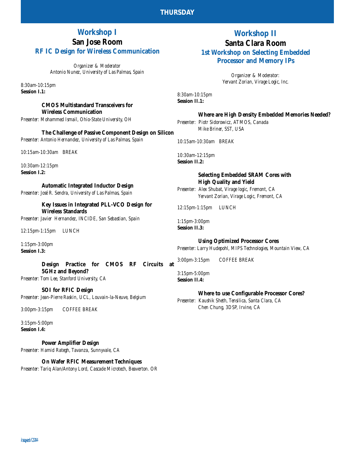# **Workshop I San Jose Room RF IC Design for Wireless Communication**

*Organizer & Moderator Antonio Nunez, University of Las Palmas, Spain*

*8:30am-10:15pm* **Session I.1:** 

### **CMOS Multistandard Transceivers for Wireless Communication**

*Presenter: Mohammed Ismail, Ohio-State University, OH*

**The Challenge of Passive Component Design on Silicon** *Presenter: Antonio Hernandez, University of Las Palmas, Spain*

*10:15am-10:30am BREAK*

*10:30am-12:15pm* **Session I.2:** 

**Automatic Integrated Inductor Design**

*Presenter: José R. Sendra, University of Las Palmas, Spain*

**Key Issues in Integrated PLL-VCO Design for Wireless Standards**

*Presenter: Javier Hernandez, INCIDE, San Sebastian, Spain*

*12:15pm-1:15pm LUNCH*

*1:15pm-3:00pm* **Session I.3:** 

**Design Practice for CMOS RF Circuits at 5GHz and Beyond?** *Presenter: Tom Lee, Stanford University, CA*

**SOI for RFIC Design**

*Presenter: Jean-Pierre Raskin, UCL, Louvain-la-Neuve, Belgium*

*3:00pm-3:15pm COFFEE BREAK*

*3:15pm-5:00pm* **Session I.4:** 

**Power Amplifier Design**

*Presenter: Hamid Rategh, Tavanza, Sunnyvale, CA*

**On Wafer RFIC Measurement Techniques** *Presenter: Tariq Alan/Antony Lord, Cascade Microtech, Beaverton. OR*

# **Workshop II Santa Clara Room 1st Workshop on Selecting Embedded**

**Processor and Memory IPs**

*Organizer & Moderator: Yervant Zorian, Virage Logic, Inc.* 

*8:30am-10:15pm* **Session II.1:** 

## **Where are High Density Embedded Memories Needed?**

*Presenter: Piotr Sidorowicz, ATMOS, Canada Mike Briner, SST, USA*

*10:15am-10:30am BREAK*

*10:30am-12:15pm* **Session II.2:** 

### **Selecting Embedded SRAM Cores with High Quality and Yield**

*Presenter: Alex Shubat, Virage logic, Fremont, CA Yervant Zorian, Virage Logic, Fremont, CA*

*12:15pm-1:15pm LUNCH*

*1:15pm-3:00pm* **Session II.3:** 

**Using Optimized Processor Cores** *Presenter: Larry Hudepohl, MIPS Technologies, Mountain View, CA*

*3:00pm-3:15pm COFFEE BREAK*

*3:15pm-5:00pm* **Session II.4:** 

# **Where to use Configurable Processor Cores?**

*Presenter: Kaushik Sheth, Tensilica, Santa Clara, CA Chen Chung, 3DSP, Irvine, CA*